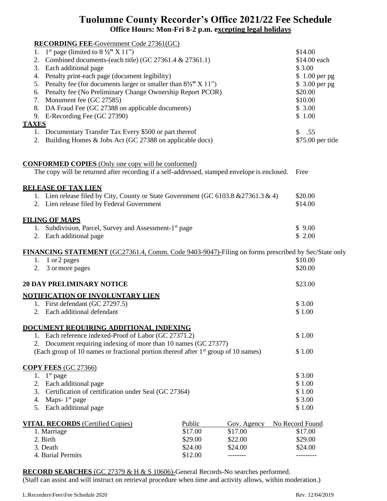## **Tuolumne County Recorder's Office 2021/22 Fee Schedule Office Hours: Mon-Fri 8-2 p.m. excepting legal holidays**

| <b>RECORDING FEE-Government Code 27361(GC)</b><br>1 <sup>st</sup> page (limited to $8\frac{1}{2}$ " X 11")<br>1.<br>2. Combined documents-(each title) (GC 27361.4 $& 27361.1$ )<br>3. Each additional page<br>4. Penalty print-each page (document legibility)<br>5. Penalty fee (for documents larger or smaller than $8\frac{1}{2}$ " X 11")<br>6. Penalty fee (No Preliminary Change Ownership Report PCOR)<br>7. Monument fee (GC 27585)<br>8. DA Fraud Fee (GC 27388 on applicable documents)<br>9. E-Recording Fee (GC 27390)<br><b>TAXES</b><br>1. Documentary Transfer Tax Every \$500 or part thereof<br>2. Building Homes & Jobs Act (GC 27388 on applicable docs) |         |             | \$14.00<br>\$14.00 each<br>\$3.00<br>\$1.00 per pg<br>\$ 3.00 per pg<br>\$20.00<br>\$10.00<br>\$3.00<br>\$1.00<br>\$.55<br>\$75.00 per title |
|-------------------------------------------------------------------------------------------------------------------------------------------------------------------------------------------------------------------------------------------------------------------------------------------------------------------------------------------------------------------------------------------------------------------------------------------------------------------------------------------------------------------------------------------------------------------------------------------------------------------------------------------------------------------------------|---------|-------------|----------------------------------------------------------------------------------------------------------------------------------------------|
| <b>CONFORMED COPIES</b> (Only one copy will be conformed)                                                                                                                                                                                                                                                                                                                                                                                                                                                                                                                                                                                                                     |         |             |                                                                                                                                              |
| The copy will be returned after recording if a self-addressed, stamped envelope is enclosed.                                                                                                                                                                                                                                                                                                                                                                                                                                                                                                                                                                                  |         |             | Free                                                                                                                                         |
|                                                                                                                                                                                                                                                                                                                                                                                                                                                                                                                                                                                                                                                                               |         |             |                                                                                                                                              |
| <b>RELEASE OF TAX LIEN</b>                                                                                                                                                                                                                                                                                                                                                                                                                                                                                                                                                                                                                                                    |         |             |                                                                                                                                              |
| 1. Lien release filed by City, County or State Government (GC 6103.8 & 27361.3 & 4)<br>2. Lien release filed by Federal Government                                                                                                                                                                                                                                                                                                                                                                                                                                                                                                                                            |         |             | \$20.00<br>\$14.00                                                                                                                           |
|                                                                                                                                                                                                                                                                                                                                                                                                                                                                                                                                                                                                                                                                               |         |             |                                                                                                                                              |
| <b>FILING OF MAPS</b>                                                                                                                                                                                                                                                                                                                                                                                                                                                                                                                                                                                                                                                         |         |             |                                                                                                                                              |
| 1. Subdivision, Parcel, Survey and Assessment-1 <sup>st</sup> page                                                                                                                                                                                                                                                                                                                                                                                                                                                                                                                                                                                                            |         |             | \$9.00                                                                                                                                       |
| 2. Each additional page                                                                                                                                                                                                                                                                                                                                                                                                                                                                                                                                                                                                                                                       |         |             | \$2.00                                                                                                                                       |
|                                                                                                                                                                                                                                                                                                                                                                                                                                                                                                                                                                                                                                                                               |         |             |                                                                                                                                              |
| FINANCING STATEMENT (GC27361.4, Comm. Code 9403-9047)-Filing on forms prescribed by Sec/State only                                                                                                                                                                                                                                                                                                                                                                                                                                                                                                                                                                            |         |             |                                                                                                                                              |
| 1. 1 or 2 pages                                                                                                                                                                                                                                                                                                                                                                                                                                                                                                                                                                                                                                                               |         |             | \$10.00                                                                                                                                      |
| 2. 3 or more pages                                                                                                                                                                                                                                                                                                                                                                                                                                                                                                                                                                                                                                                            |         |             | \$20.00                                                                                                                                      |
| <b>20 DAY PRELIMINARY NOTICE</b>                                                                                                                                                                                                                                                                                                                                                                                                                                                                                                                                                                                                                                              |         |             | \$23.00                                                                                                                                      |
|                                                                                                                                                                                                                                                                                                                                                                                                                                                                                                                                                                                                                                                                               |         |             |                                                                                                                                              |
| NOTIFICATION OF INVOLUNTARY LIEN                                                                                                                                                                                                                                                                                                                                                                                                                                                                                                                                                                                                                                              |         |             |                                                                                                                                              |
| 1. First defendant (GC 27297.5)                                                                                                                                                                                                                                                                                                                                                                                                                                                                                                                                                                                                                                               |         |             | \$3.00                                                                                                                                       |
| 2. Each additional defendant                                                                                                                                                                                                                                                                                                                                                                                                                                                                                                                                                                                                                                                  |         |             | \$1.00                                                                                                                                       |
| DOCUMENT REOUIRING ADDITIONAL INDEXING                                                                                                                                                                                                                                                                                                                                                                                                                                                                                                                                                                                                                                        |         |             |                                                                                                                                              |
| 1. Each reference indexed-Proof of Labor (GC 27371.2)                                                                                                                                                                                                                                                                                                                                                                                                                                                                                                                                                                                                                         |         |             | \$1.00                                                                                                                                       |
| 2. Document requiring indexing of more than 10 names (GC 27377)                                                                                                                                                                                                                                                                                                                                                                                                                                                                                                                                                                                                               |         |             |                                                                                                                                              |
| (Each group of 10 names or fractional portion thereof after 1 <sup>st</sup> group of 10 names)                                                                                                                                                                                                                                                                                                                                                                                                                                                                                                                                                                                |         |             | \$1.00                                                                                                                                       |
|                                                                                                                                                                                                                                                                                                                                                                                                                                                                                                                                                                                                                                                                               |         |             |                                                                                                                                              |
| <b>COPY FEES (GC 27366)</b>                                                                                                                                                                                                                                                                                                                                                                                                                                                                                                                                                                                                                                                   |         |             |                                                                                                                                              |
| 1. $1^{\text{st}}$ page                                                                                                                                                                                                                                                                                                                                                                                                                                                                                                                                                                                                                                                       |         |             | \$3.00                                                                                                                                       |
| Each additional page<br>2.                                                                                                                                                                                                                                                                                                                                                                                                                                                                                                                                                                                                                                                    |         |             | \$1.00                                                                                                                                       |
| 3. Certification of certification under Seal (GC 27364)                                                                                                                                                                                                                                                                                                                                                                                                                                                                                                                                                                                                                       |         |             | \$1.00                                                                                                                                       |
| Maps- $1st$ page<br>4.                                                                                                                                                                                                                                                                                                                                                                                                                                                                                                                                                                                                                                                        |         |             | \$3.00                                                                                                                                       |
| Each additional page<br>5.                                                                                                                                                                                                                                                                                                                                                                                                                                                                                                                                                                                                                                                    |         |             | \$1.00                                                                                                                                       |
| <b>VITAL RECORDS</b> (Certified Copies)                                                                                                                                                                                                                                                                                                                                                                                                                                                                                                                                                                                                                                       | Public  | Gov. Agency | No Record Found                                                                                                                              |
| 1. Marriage                                                                                                                                                                                                                                                                                                                                                                                                                                                                                                                                                                                                                                                                   | \$17.00 | \$17.00     | \$17.00                                                                                                                                      |
| 2. Birth                                                                                                                                                                                                                                                                                                                                                                                                                                                                                                                                                                                                                                                                      | \$29.00 | \$22.00     | \$29.00                                                                                                                                      |
| 3. Death                                                                                                                                                                                                                                                                                                                                                                                                                                                                                                                                                                                                                                                                      | \$24.00 | \$24.00     | \$24.00                                                                                                                                      |
| 4. Burial Permits                                                                                                                                                                                                                                                                                                                                                                                                                                                                                                                                                                                                                                                             | \$12.00 |             |                                                                                                                                              |
|                                                                                                                                                                                                                                                                                                                                                                                                                                                                                                                                                                                                                                                                               |         |             |                                                                                                                                              |

**RECORD SEARCHES** (GC 27379 & H & S 10606)-General Records-No searches performed.

(Staff can assist and will instruct on retrieval procedure when time and activity allows, within moderation.)